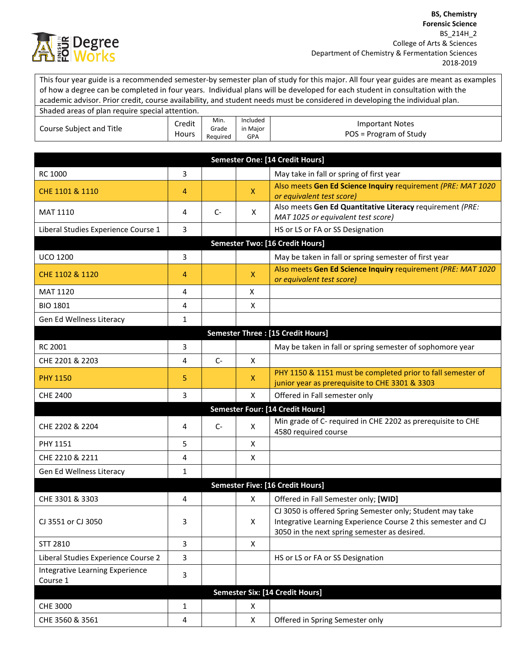

This four year guide is a recommended semester-by semester plan of study for this major. All four year guides are meant as examples of how a degree can be completed in four years. Individual plans will be developed for each student in consultation with the academic advisor. Prior credit, course availability, and student needs must be considered in developing the individual plan.

| Shaded areas of plan require special attention. |                 |                           |                                    |                                                  |
|-------------------------------------------------|-----------------|---------------------------|------------------------------------|--------------------------------------------------|
| Course Subject and Title                        | Credit<br>Hours | Min.<br>Grade<br>Reauired | Included<br>in Maior<br><b>GPA</b> | <b>Important Notes</b><br>POS = Program of Study |

|                                             |              |      |              | Semester One: [14 Credit Hours]                                                                                                                                            |
|---------------------------------------------|--------------|------|--------------|----------------------------------------------------------------------------------------------------------------------------------------------------------------------------|
| <b>RC 1000</b>                              | 3            |      |              | May take in fall or spring of first year                                                                                                                                   |
| CHE 1101 & 1110                             | 4            |      | X.           | Also meets Gen Ed Science Inquiry requirement (PRE: MAT 1020<br>or equivalent test score)                                                                                  |
| <b>MAT 1110</b>                             | 4            | $C-$ | X            | Also meets Gen Ed Quantitative Literacy requirement (PRE:<br>MAT 1025 or equivalent test score)                                                                            |
| Liberal Studies Experience Course 1         | 3            |      |              | HS or LS or FA or SS Designation                                                                                                                                           |
|                                             |              |      |              | <b>Semester Two: [16 Credit Hours]</b>                                                                                                                                     |
| <b>UCO 1200</b>                             | 3            |      |              | May be taken in fall or spring semester of first year                                                                                                                      |
| CHE 1102 & 1120                             | 4            |      | $\mathsf{X}$ | Also meets Gen Ed Science Inquiry requirement (PRE: MAT 1020<br>or equivalent test score)                                                                                  |
| MAT 1120                                    | 4            |      | X            |                                                                                                                                                                            |
| <b>BIO 1801</b>                             | 4            |      | X            |                                                                                                                                                                            |
| Gen Ed Wellness Literacy                    | $\mathbf{1}$ |      |              |                                                                                                                                                                            |
|                                             |              |      |              | <b>Semester Three: [15 Credit Hours]</b>                                                                                                                                   |
| <b>RC 2001</b>                              | 3            |      |              | May be taken in fall or spring semester of sophomore year                                                                                                                  |
| CHE 2201 & 2203                             | 4            | $C-$ | X            |                                                                                                                                                                            |
| <b>PHY 1150</b>                             | 5            |      | X            | PHY 1150 & 1151 must be completed prior to fall semester of<br>junior year as prerequisite to CHE 3301 & 3303                                                              |
| <b>CHE 2400</b>                             | 3            |      | X            | Offered in Fall semester only                                                                                                                                              |
|                                             |              |      |              | <b>Semester Four: [14 Credit Hours]</b>                                                                                                                                    |
| CHE 2202 & 2204                             | 4            | $C-$ | X            | Min grade of C- required in CHE 2202 as prerequisite to CHE<br>4580 required course                                                                                        |
| PHY 1151                                    | 5            |      | Χ            |                                                                                                                                                                            |
| CHE 2210 & 2211                             | 4            |      | X            |                                                                                                                                                                            |
| Gen Ed Wellness Literacy                    | $\mathbf{1}$ |      |              |                                                                                                                                                                            |
|                                             |              |      |              | <b>Semester Five: [16 Credit Hours]</b>                                                                                                                                    |
| CHE 3301 & 3303                             | 4            |      | X            | Offered in Fall Semester only; [WID]                                                                                                                                       |
| CJ 3551 or CJ 3050                          | 3            |      | X            | CJ 3050 is offered Spring Semester only; Student may take<br>Integrative Learning Experience Course 2 this semester and CJ<br>3050 in the next spring semester as desired. |
| STT 2810                                    | 3            |      | X            |                                                                                                                                                                            |
| Liberal Studies Experience Course 2         | 3            |      |              | HS or LS or FA or SS Designation                                                                                                                                           |
| Integrative Learning Experience<br>Course 1 | 3            |      |              |                                                                                                                                                                            |
|                                             |              |      |              | <b>Semester Six: [14 Credit Hours]</b>                                                                                                                                     |
| CHE 3000                                    | $\mathbf{1}$ |      | X            |                                                                                                                                                                            |
| CHE 3560 & 3561                             | 4            |      | X            | Offered in Spring Semester only                                                                                                                                            |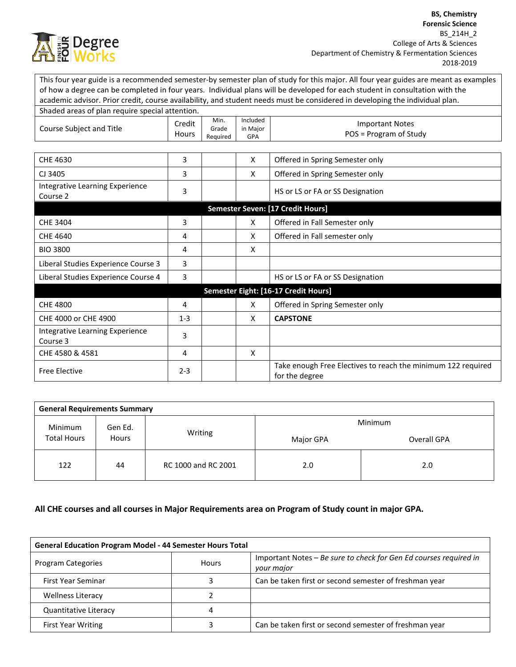

This four year guide is a recommended semester-by semester plan of study for this major. All four year guides are meant as examples of how a degree can be completed in four years. Individual plans will be developed for each student in consultation with the academic advisor. Prior credit, course availability, and student needs must be considered in developing the individual plan. Shaded areas of plan require special attention

| Siladed areas of plair require special attention. |                 |                           |                             |                                                                                |
|---------------------------------------------------|-----------------|---------------------------|-----------------------------|--------------------------------------------------------------------------------|
| Course Subject and Title                          | Credit<br>Hours | Min.<br>Grade<br>Required | Included<br>in Major<br>GPA | <b>Important Notes</b><br>POS = Program of Study                               |
|                                                   |                 |                           |                             |                                                                                |
| CHE 4630                                          | 3               |                           | X                           | Offered in Spring Semester only                                                |
| CJ 3405                                           | 3               |                           | X                           | Offered in Spring Semester only                                                |
| Integrative Learning Experience<br>Course 2       | 3               |                           |                             | HS or LS or FA or SS Designation                                               |
|                                                   |                 |                           |                             | Semester Seven: [17 Credit Hours]                                              |
| <b>CHE 3404</b>                                   | 3               |                           | X                           | Offered in Fall Semester only                                                  |
| CHE 4640                                          | 4               |                           | X                           | Offered in Fall semester only                                                  |
| <b>BIO 3800</b>                                   | 4               |                           | X                           |                                                                                |
| Liberal Studies Experience Course 3               | 3               |                           |                             |                                                                                |
| Liberal Studies Experience Course 4               | 3               |                           |                             | HS or LS or FA or SS Designation                                               |
|                                                   |                 |                           |                             | Semester Eight: [16-17 Credit Hours]                                           |
| <b>CHE 4800</b>                                   | 4               |                           | X                           | Offered in Spring Semester only                                                |
| CHE 4000 or CHE 4900                              | $1 - 3$         |                           | X                           | <b>CAPSTONE</b>                                                                |
| Integrative Learning Experience<br>Course 3       | 3               |                           |                             |                                                                                |
| CHE 4580 & 4581                                   | 4               |                           | X                           |                                                                                |
| <b>Free Elective</b>                              | $2 - 3$         |                           |                             | Take enough Free Electives to reach the minimum 122 required<br>for the degree |

| <b>General Requirements Summary</b>               |         |                     |             |     |  |  |
|---------------------------------------------------|---------|---------------------|-------------|-----|--|--|
| Gen Ed.<br>Minimum<br><b>Total Hours</b><br>Hours |         | Minimum             |             |     |  |  |
|                                                   | Writing | Major GPA           | Overall GPA |     |  |  |
| 122                                               | 44      | RC 1000 and RC 2001 | 2.0         | 2.0 |  |  |

## **All CHE courses and all courses in Major Requirements area on Program of Study count in major GPA.**

| <b>General Education Program Model - 44 Semester Hours Total</b> |              |                                                                                 |  |
|------------------------------------------------------------------|--------------|---------------------------------------------------------------------------------|--|
| Program Categories                                               | <b>Hours</b> | Important Notes - Be sure to check for Gen Ed courses required in<br>your major |  |
| First Year Seminar                                               |              | Can be taken first or second semester of freshman year                          |  |
| <b>Wellness Literacy</b>                                         |              |                                                                                 |  |
| <b>Quantitative Literacy</b>                                     |              |                                                                                 |  |
| <b>First Year Writing</b>                                        |              | Can be taken first or second semester of freshman year                          |  |